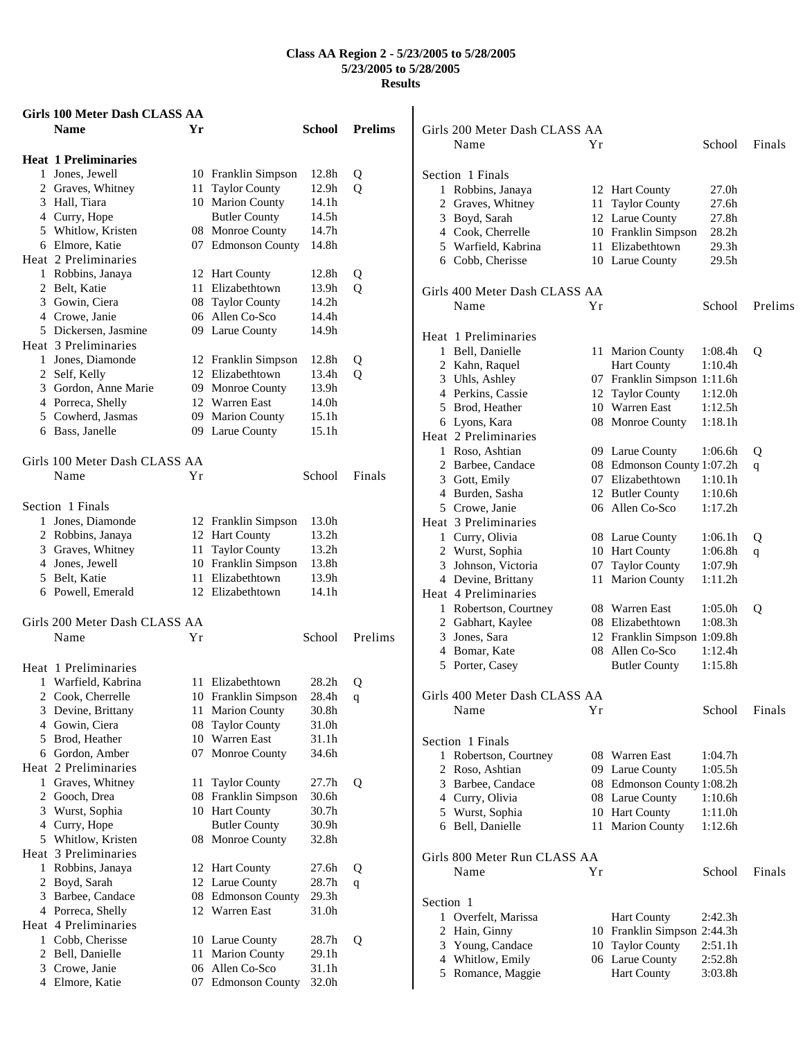| Girls 100 Meter Dash CLASS AA                |    |                                         |                   |                |                      |
|----------------------------------------------|----|-----------------------------------------|-------------------|----------------|----------------------|
| Name                                         | Yr |                                         | <b>School</b>     | <b>Prelims</b> | Girls 20             |
|                                              |    |                                         |                   |                | N                    |
| <b>Heat 1 Preliminaries</b>                  |    |                                         |                   |                |                      |
| 1 Jones, Jewell                              |    | 10 Franklin Simpson                     | 12.8h             | Q              | Section              |
| 2 Graves, Whitney                            |    | 11 Taylor County                        | 12.9h             | Q              | $1 \cdot R$          |
| 3 Hall, Tiara                                |    | 10 Marion County                        | 14.1h             |                | $\overline{c}$<br>G1 |
| 4 Curry, Hope                                |    | <b>Butler County</b>                    | 14.5h             |                | 3 B                  |
| 5 Whitlow, Kristen                           |    | 08 Monroe County                        | 14.7h             |                | 4 C                  |
| 6 Elmore, Katie                              |    | 07 Edmonson County                      | 14.8h             |                | 5 W                  |
| Heat 2 Preliminaries                         |    |                                         |                   |                | 6 <sup>C</sup>       |
| 1 Robbins, Janaya                            |    | 12 Hart County                          | 12.8h             | Q              |                      |
| 2 Belt, Katie                                |    | 11 Elizabethtown                        | 13.9h             | Q              | Girls 40             |
| 3 Gowin, Ciera                               |    | 08 Taylor County                        | 14.2h             |                | N                    |
| 4 Crowe, Janie                               |    | 06 Allen Co-Sco                         | 14.4h             |                |                      |
| 5 Dickersen, Jasmine<br>Heat 3 Preliminaries |    | 09 Larue County                         | 14.9h             |                | Heat 1               |
| 1 Jones, Diamonde                            |    |                                         | 12.8h             |                | $1 - B$              |
| 2 Self, Kelly                                |    | 12 Franklin Simpson<br>12 Elizabethtown | 13.4h             | Q<br>Q         | 2 $K_i$              |
| 3 Gordon, Anne Marie                         |    | 09 Monroe County                        | 13.9h             |                | 3 U                  |
| 4 Porreca, Shelly                            |    | 12 Warren East                          | 14.0h             |                | 4 Pe                 |
| 5 Cowherd, Jasmas                            |    | 09 Marion County                        | 15.1 <sub>h</sub> |                | 5B1                  |
| 6 Bass, Janelle                              |    | 09 Larue County                         | 15.1h             |                | 6 Ly                 |
|                                              |    |                                         |                   |                | Heat 2               |
| Girls 100 Meter Dash CLASS AA                |    |                                         |                   |                | $1 \text{R}$         |
| Name                                         | Υr |                                         | School            | Finals         | 2 Bi                 |
|                                              |    |                                         |                   |                | $3$ G                |
| Section 1 Finals                             |    |                                         |                   |                | 4 B<br>5 C           |
| 1 Jones, Diamonde                            |    | 12 Franklin Simpson                     | 13.0h             |                | Heat 3               |
| 2 Robbins, Janaya                            |    | 12 Hart County                          | 13.2h             |                | $1$ C                |
| 3 Graves, Whitney                            |    | 11 Taylor County                        | 13.2h             |                | 2 W                  |
| 4 Jones, Jewell                              |    | 10 Franklin Simpson                     | 13.8h             |                | 3<br>Jo              |
| 5 Belt, Katie                                |    | 11 Elizabethtown                        | 13.9h             |                | 4 D                  |
| 6 Powell, Emerald                            |    | 12 Elizabethtown                        | 14.1h             |                | Heat 4               |
|                                              |    |                                         |                   |                | $1 \cdot R$          |
| Girls 200 Meter Dash CLASS AA                |    |                                         |                   |                | $2$ G                |
| Name                                         | Υr |                                         | School            | Prelims        | 3<br>Jo              |
|                                              |    |                                         |                   |                | 4 B                  |
| Heat 1 Preliminaries                         |    |                                         |                   |                | 5 Po                 |
| 1 Warfield, Kabrina                          |    | 11 Elizabethtown                        | 28.2 <sub>h</sub> | Q              |                      |
| 2 Cook, Cherrelle                            |    | 10 Franklin Simpson                     | 28.4h             | q              | Girls 40             |
| 3 Devine, Brittany                           |    | 11 Marion County                        | 30.8h             |                | N                    |
| 4 Gowin, Ciera                               |    | 08 Taylor County                        | 31.0h             |                |                      |
| 5 Brod, Heather                              |    | 10 Warren East                          | 31.1h             |                | Section              |
| 6 Gordon, Amber                              |    | 07 Monroe County                        | 34.6h             |                | $1 \cdot R$          |
| Heat 2 Preliminaries                         |    |                                         |                   |                | 2 R                  |
| 1 Graves, Whitney                            |    | 11 Taylor County                        | 27.7h             | Q              | $3$ B                |
| 2 Gooch, Drea                                |    | 08 Franklin Simpson                     | 30.6h             |                | 4 <sup>C</sup>       |
| 3 Wurst, Sophia                              |    | 10 Hart County                          | 30.7h             |                | 5 W                  |
| 4 Curry, Hope                                |    | <b>Butler County</b>                    | 30.9h             |                | 6 B                  |
| 5 Whitlow, Kristen<br>Heat 3 Preliminaries   |    | 08 Monroe County                        | 32.8h             |                |                      |
| 1 Robbins, Janaya                            |    |                                         |                   |                | Girls 80             |
| 2 Boyd, Sarah                                |    | 12 Hart County<br>12 Larue County       | 27.6h<br>28.7h    | Q              | N                    |
| 3 Barbee, Candace                            |    | 08 Edmonson County                      | 29.3 <sub>h</sub> | $\mathbf{q}$   |                      |
| 4 Porreca, Shelly                            |    | 12 Warren East                          | 31.0h             |                | Section              |
| Heat 4 Preliminaries                         |    |                                         |                   |                | 1 O                  |
| 1 Cobb, Cherisse                             |    | 10 Larue County                         | 28.7h             | Q              | 2<br>H <sub>i</sub>  |
| 2 Bell, Danielle                             |    | 11 Marion County                        | 29.1h             |                | 3<br>Y               |
| 3 Crowe, Janie                               |    | 06 Allen Co-Sco                         | 31.1h             |                | 4<br>W               |
| 4 Elmore, Katie                              |    | 07 Edmonson County                      | 32.0h             |                | 5 R                  |
|                                              |    |                                         |                   |                |                      |

|           | Girls 200 Meter Dash CLASS AA |    |                             |                     |         |
|-----------|-------------------------------|----|-----------------------------|---------------------|---------|
|           | Name                          | Υr |                             | School              | Finals  |
|           |                               |    |                             |                     |         |
|           | Section 1 Finals              |    |                             |                     |         |
| 1         | Robbins, Janaya               |    | 12 Hart County              | 27.0h               |         |
|           | 2 Graves, Whitney             | 11 | <b>Taylor County</b>        | 27.6h               |         |
|           | 3 Boyd, Sarah                 |    | 12 Larue County             | 27.8h               |         |
|           | 4 Cook, Cherrelle             |    | 10 Franklin Simpson         | 28.2 <sub>h</sub>   |         |
|           | 5 Warfield, Kabrina           |    | 11 Elizabethtown            | 29.3 <sub>h</sub>   |         |
|           | 6 Cobb, Cherisse              |    | 10 Larue County             | 29.5h               |         |
|           | Girls 400 Meter Dash CLASS AA |    |                             |                     |         |
|           | Name                          | Υr |                             | School              | Prelims |
|           | Heat 1 Preliminaries          |    |                             |                     |         |
|           | 1 Bell, Danielle              |    | 11 Marion County            | 1:08.4h             | Q       |
|           | 2 Kahn, Raquel                |    | <b>Hart County</b>          | 1:10.4h             |         |
|           | 3 Uhls, Ashley                | 07 | Franklin Simpson 1:11.6h    |                     |         |
|           | 4 Perkins, Cassie             | 12 | <b>Taylor County</b>        | 1:12.0h             |         |
|           | 5 Brod, Heather               |    | 10 Warren East              | 1:12.5h             |         |
|           | 6 Lyons, Kara                 |    | 08 Monroe County            | 1:18.1h             |         |
|           | Heat 2 Preliminaries          |    |                             |                     |         |
|           | 1 Roso, Ashtian               |    | 09 Larue County             | 1:06.6h             | Q       |
|           | 2 Barbee, Candace             |    | 08 Edmonson County 1:07.2h  |                     | q       |
|           | 3 Gott, Emily                 |    | 07 Elizabethtown            | 1:10.1h             |         |
|           | 4 Burden, Sasha               |    | 12 Butler County            | 1:10.6h             |         |
|           | 5 Crowe, Janie                |    | 06 Allen Co-Sco             | 1:17.2h             |         |
|           | Heat 3 Preliminaries          |    |                             |                     |         |
|           | 1 Curry, Olivia               |    | 08 Larue County             | 1:06.1h             | Q       |
|           | 2 Wurst, Sophia               |    | 10 Hart County              | 1:06.8h             | q       |
|           | 3 Johnson, Victoria           |    | 07 Taylor County            | 1:07.9h             |         |
|           | 4 Devine, Brittany            | 11 | <b>Marion County</b>        | 1:11.2h             |         |
|           | Heat 4 Preliminaries          |    |                             |                     |         |
|           | 1 Robertson, Courtney         |    | 08 Warren East              | 1:05.0 <sub>h</sub> | Q       |
|           | 2 Gabhart, Kaylee             |    | 08 Elizabethtown            | 1:08.3h             |         |
|           | 3 Jones, Sara                 |    | 12 Franklin Simpson 1:09.8h |                     |         |
|           | 4 Bomar, Kate                 |    | 08 Allen Co-Sco             | 1:12.4h             |         |
|           | 5 Porter, Casey               |    | <b>Butler County</b>        | 1:15.8h             |         |
|           | Girls 400 Meter Dash CLASS AA |    |                             |                     |         |
|           | Name                          | Υr |                             | School              | Finals  |
|           |                               |    |                             |                     |         |
|           | Section 1 Finals              |    |                             |                     |         |
| 1         | Robertson, Courtney           |    | 08 Warren East              | 1:04.7h             |         |
|           | 2 Roso, Ashtian               |    | 09 Larue County             | 1:05.5h             |         |
|           | 3 Barbee, Candace             |    | 08 Edmonson County 1:08.2h  |                     |         |
|           | 4 Curry, Olivia               |    | 08 Larue County             | 1:10.6h             |         |
|           | 5 Wurst, Sophia               |    | 10 Hart County              | 1:11.0h             |         |
|           | 6 Bell, Danielle              | 11 | <b>Marion County</b>        | 1:12.6h             |         |
|           | Girls 800 Meter Run CLASS AA  |    |                             |                     |         |
|           | Name                          | Yr |                             | School              | Finals  |
| Section 1 |                               |    |                             |                     |         |
|           | 1 Overfelt, Marissa           |    | Hart County                 | 2:42.3h             |         |
| 2         | Hain, Ginny                   |    | 10 Franklin Simpson 2:44.3h |                     |         |
|           | 3 Young, Candace              |    | 10 Taylor County            | 2:51.1h             |         |
|           | 4 Whitlow, Emily              |    | 06 Larue County             | 2:52.8h             |         |
|           | 5 Romance, Maggie             |    | <b>Hart County</b>          | 3:03.8h             |         |
|           |                               |    |                             |                     |         |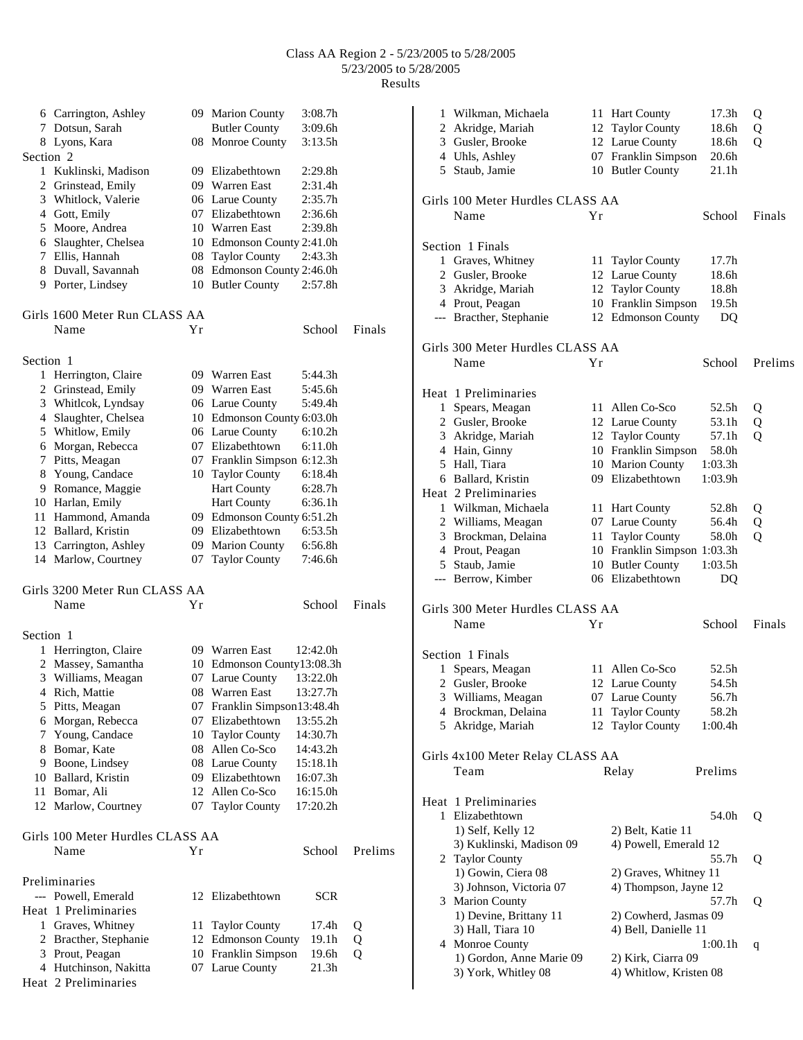|              | 6 Carrington, Ashley                    |    | 09 Marion County            | 3:08.7h             |         |
|--------------|-----------------------------------------|----|-----------------------------|---------------------|---------|
|              | 7 Dotsun, Sarah                         |    | <b>Butler County</b>        | 3:09.6h             |         |
|              | 8 Lyons, Kara                           |    | 08 Monroe County            | 3:13.5h             |         |
| Section 2    |                                         |    |                             |                     |         |
|              | 1 Kuklinski, Madison                    |    | 09 Elizabethtown            | 2:29.8h             |         |
|              | 2 Grinstead, Emily                      |    | 09 Warren East              | 2:31.4h             |         |
|              | 3 Whitlock, Valerie                     |    | 06 Larue County             | 2:35.7h             |         |
|              | 4 Gott, Emily                           |    | 07 Elizabethtown            | 2:36.6h             |         |
|              |                                         |    |                             | 2:39.8h             |         |
|              | 5 Moore, Andrea<br>6 Slaughter, Chelsea |    | 10 Warren East              |                     |         |
|              |                                         |    | 10 Edmonson County 2:41.0h  |                     |         |
|              | 7 Ellis, Hannah                         | 08 | <b>Taylor County</b>        | 2:43.3h             |         |
|              | 8 Duvall, Savannah                      | 08 | Edmonson County 2:46.0h     |                     |         |
|              | 9 Porter, Lindsey                       |    | 10 Butler County            | 2:57.8h             |         |
|              |                                         |    |                             |                     |         |
|              | Girls 1600 Meter Run CLASS AA           |    |                             |                     |         |
|              | Name                                    | Υr |                             | School              | Finals  |
|              |                                         |    |                             |                     |         |
| Section 1    |                                         |    |                             |                     |         |
| $\mathbf{1}$ | Herrington, Claire                      |    | 09 Warren East              | 5:44.3h             |         |
|              | 2 Grinstead, Emily                      |    | 09 Warren East              | 5:45.6h             |         |
|              | 3 Whitlcok, Lyndsay                     |    | 06 Larue County             | 5:49.4h             |         |
|              | 4 Slaughter, Chelsea                    |    | 10 Edmonson County 6:03.0h  |                     |         |
|              | 5 Whitlow, Emily                        |    | 06 Larue County             | 6:10.2 <sub>h</sub> |         |
|              | 6 Morgan, Rebecca                       |    | 07 Elizabethtown            | 6:11.0h             |         |
|              | 7 Pitts, Meagan                         |    | 07 Franklin Simpson 6:12.3h |                     |         |
|              | 8 Young, Candace                        |    | 10 Taylor County            | 6:18.4h             |         |
|              | 9 Romance, Maggie                       |    | <b>Hart County</b>          | 6:28.7h             |         |
|              |                                         |    |                             |                     |         |
|              | 10 Harlan, Emily                        |    | <b>Hart County</b>          | 6:36.1h             |         |
|              | 11 Hammond, Amanda                      |    | 09 Edmonson County 6:51.2h  |                     |         |
|              | 12 Ballard, Kristin                     |    | 09 Elizabethtown            | 6:53.5h             |         |
|              | 13 Carrington, Ashley                   |    | 09 Marion County            | 6:56.8h             |         |
|              | 14 Marlow, Courtney                     | 07 | <b>Taylor County</b>        | 7:46.6h             |         |
|              |                                         |    |                             |                     |         |
|              | Girls 3200 Meter Run CLASS AA           |    |                             |                     |         |
|              | Name                                    | Υr |                             | School              | Finals  |
|              |                                         |    |                             |                     |         |
| Section 1    |                                         |    |                             |                     |         |
| 1            | Herrington, Claire                      |    | 09 Warren East              | 12:42.0h            |         |
|              | 2 Massey, Samantha                      |    | 10 Edmonson County13:08.3h  |                     |         |
|              | 3 Williams, Meagan                      |    | 07 Larue County             | 13:22.0h            |         |
|              | 4 Rich, Mattie                          |    | 08 Warren East              | 13:27.7h            |         |
|              | 5 Pitts, Meagan                         |    | 07 Franklin Simpson13:48.4h |                     |         |
|              | 6 Morgan, Rebecca                       |    | 07 Elizabethtown            | 13:55.2h            |         |
|              | 7 Young, Candace                        |    | 10 Taylor County            | 14:30.7h            |         |
|              | 8 Bomar, Kate                           |    | 08 Allen Co-Sco             | 14:43.2h            |         |
|              | 9 Boone, Lindsey                        |    | 08 Larue County             | 15:18.1h            |         |
|              | 10 Ballard, Kristin                     |    | 09 Elizabethtown            | 16:07.3h            |         |
|              |                                         |    | Allen Co-Sco                |                     |         |
|              | 11 Bomar, Ali                           | 12 |                             | 16:15.0h            |         |
|              | 12 Marlow, Courtney                     | 07 | <b>Taylor County</b>        | 17:20.2h            |         |
|              |                                         |    |                             |                     |         |
|              | Girls 100 Meter Hurdles CLASS AA        |    |                             |                     |         |
|              | Name                                    | Υr |                             | School              | Prelims |
|              |                                         |    |                             |                     |         |
|              | Preliminaries                           |    |                             |                     |         |
|              | --- Powell, Emerald                     |    | 12 Elizabethtown            | <b>SCR</b>          |         |
|              | Heat 1 Preliminaries                    |    |                             |                     |         |
|              | 1 Graves, Whitney                       | 11 | <b>Taylor County</b>        | 17.4h               | Q       |
|              | 2 Bracther, Stephanie                   |    | 12 Edmonson County          | 19.1h               | Q       |
|              | 3 Prout, Peagan                         |    | 10 Franklin Simpson         | 19.6h               | Q       |
|              | 4 Hutchinson, Nakitta                   |    | 07 Larue County             | 21.3 <sub>h</sub>   |         |
|              | Heat 2 Preliminaries                    |    |                             |                     |         |
|              |                                         |    |                             |                     |         |

| 1 | Wilkman, Michaela<br>2 Akridge, Mariah<br>3 Gusler, Brooke<br>4 Uhls, Ashley<br>5 Staub, Jamie | 11 | <b>Hart County</b><br>12 Taylor County<br>12 Larue County<br>07 Franklin Simpson<br>10 Butler County | 17.3h<br>18.6h<br>18.6h<br>20.6h<br>21.1h | Q<br>Q<br>Q |
|---|------------------------------------------------------------------------------------------------|----|------------------------------------------------------------------------------------------------------|-------------------------------------------|-------------|
|   | Girls 100 Meter Hurdles CLASS AA                                                               |    |                                                                                                      |                                           |             |
|   | Name                                                                                           | Υr |                                                                                                      | School                                    | Finals      |
|   | Section 1 Finals                                                                               |    |                                                                                                      |                                           |             |
|   | 1 Graves, Whitney                                                                              |    | 11 Taylor County                                                                                     | 17.7h                                     |             |
|   | 2 Gusler, Brooke                                                                               |    | 12 Larue County                                                                                      | 18.6h                                     |             |
|   | 3 Akridge, Mariah                                                                              |    | 12 Taylor County                                                                                     | 18.8h                                     |             |
|   | 4 Prout, Peagan                                                                                |    | 10 Franklin Simpson                                                                                  | 19.5h                                     |             |
|   | --- Bracther, Stephanie                                                                        |    | 12 Edmonson County                                                                                   | DQ                                        |             |
|   | Girls 300 Meter Hurdles CLASS AA                                                               |    |                                                                                                      |                                           |             |
|   | Name                                                                                           | Yr |                                                                                                      | School                                    | Prelims     |
|   | Heat 1 Preliminaries                                                                           |    |                                                                                                      |                                           |             |
|   | 1 Spears, Meagan                                                                               |    | 11 Allen Co-Sco                                                                                      | 52.5h                                     | Q           |
|   | 2 Gusler, Brooke                                                                               |    | 12 Larue County                                                                                      | 53.1h                                     | Q           |
|   | 3 Akridge, Mariah                                                                              |    | 12 Taylor County                                                                                     | 57.1h                                     | Q           |
|   | 4 Hain, Ginny                                                                                  |    | 10 Franklin Simpson                                                                                  | 58.0h                                     |             |
|   | 5 Hall, Tiara                                                                                  |    | 10 Marion County                                                                                     | 1:03.3h                                   |             |
|   | 6 Ballard, Kristin                                                                             |    | 09 Elizabethtown                                                                                     | 1:03.9h                                   |             |
|   | Heat 2 Preliminaries                                                                           |    |                                                                                                      |                                           |             |
|   | 1 Wilkman, Michaela                                                                            |    | 11 Hart County                                                                                       | 52.8h                                     | Q           |
|   | 2 Williams, Meagan                                                                             |    | 07 Larue County                                                                                      | 56.4h                                     | Q           |
|   | 3 Brockman, Delaina                                                                            |    | 11 Taylor County                                                                                     | 58.0h                                     | Q           |
|   | 4 Prout, Peagan                                                                                |    | 10 Franklin Simpson 1:03.3h                                                                          |                                           |             |
|   | 5 Staub, Jamie                                                                                 |    | 10 Butler County                                                                                     | 1:03.5h                                   |             |
|   | --- Berrow, Kimber                                                                             |    | 06 Elizabethtown                                                                                     | DQ                                        |             |
|   | Girls 300 Meter Hurdles CLASS AA                                                               |    |                                                                                                      |                                           |             |
|   | Name                                                                                           | Υr |                                                                                                      | School                                    | Finals      |
|   | Section 1 Finals                                                                               |    |                                                                                                      |                                           |             |
| 1 | Spears, Meagan                                                                                 |    | 11 Allen Co-Sco                                                                                      | 52.5h                                     |             |
|   | 2 Gusler, Brooke                                                                               |    | 12 Larue County                                                                                      | 54.5h                                     |             |
|   | 3 Williams, Meagan                                                                             | 07 | Larue County                                                                                         | 56.7h                                     |             |
|   | 4 Brockman, Delaina                                                                            | 11 | <b>Taylor County</b>                                                                                 | 58.2h                                     |             |
|   | 5 Akridge, Mariah                                                                              | 12 | <b>Taylor County</b>                                                                                 | 1:00.4h                                   |             |
|   | Girls 4x100 Meter Relay CLASS AA                                                               |    |                                                                                                      |                                           |             |
|   | Team                                                                                           |    | Relay                                                                                                | Prelims                                   |             |
|   | Heat 1 Preliminaries                                                                           |    |                                                                                                      |                                           |             |
|   | 1 Elizabethtown                                                                                |    |                                                                                                      | 54.0h                                     | Q           |
|   | 1) Self, Kelly 12                                                                              |    | 2) Belt, Katie 11                                                                                    |                                           |             |
|   | 3) Kuklinski, Madison 09                                                                       |    | 4) Powell, Emerald 12                                                                                |                                           |             |
|   | 2 Taylor County                                                                                |    |                                                                                                      | 55.7h                                     | Q           |
|   | 1) Gowin, Ciera 08                                                                             |    | 2) Graves, Whitney 11                                                                                |                                           |             |
|   | 3) Johnson, Victoria 07                                                                        |    | 4) Thompson, Jayne 12                                                                                |                                           |             |
|   | 3 Marion County                                                                                |    |                                                                                                      | 57.7h                                     | Q           |
|   | 1) Devine, Brittany 11                                                                         |    | 2) Cowherd, Jasmas 09                                                                                |                                           |             |
|   | 3) Hall, Tiara 10                                                                              |    | 4) Bell, Danielle 11                                                                                 |                                           |             |
|   | 4 Monroe County                                                                                |    |                                                                                                      | 1:00.1h                                   | q           |
|   | 1) Gordon, Anne Marie 09                                                                       |    | 2) Kirk, Ciarra 09                                                                                   |                                           |             |
|   | 3) York, Whitley 08                                                                            |    | 4) Whitlow, Kristen 08                                                                               |                                           |             |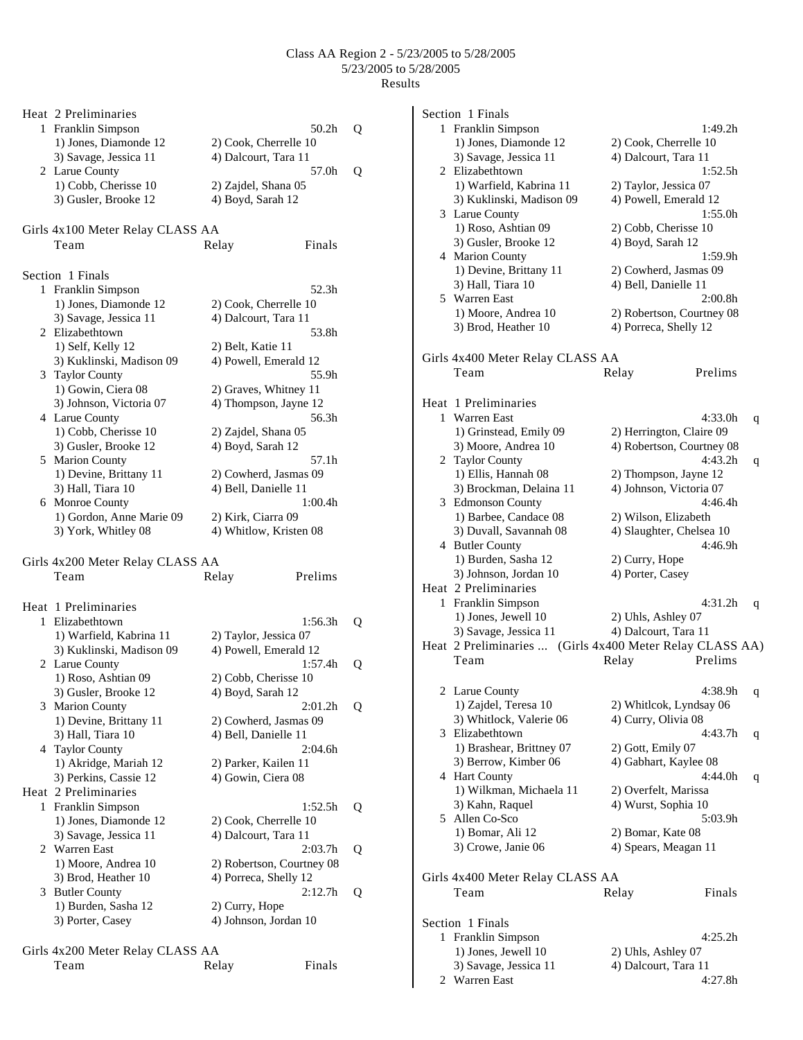|   | Heat 2 Preliminaries                        |                                |   |
|---|---------------------------------------------|--------------------------------|---|
|   | 1 Franklin Simpson<br>1) Jones, Diamonde 12 | 50.2h<br>2) Cook, Cherrelle 10 | Q |
|   | 3) Savage, Jessica 11<br>2 Larue County     | 4) Dalcourt, Tara 11<br>57.0h  | Q |
|   | 1) Cobb, Cherisse 10                        | 2) Zajdel, Shana 05            |   |
|   | 3) Gusler, Brooke 12                        | 4) Boyd, Sarah 12              |   |
|   | Girls 4x100 Meter Relay CLASS AA            |                                |   |
|   | Team                                        | Finals<br>Relay                |   |
|   |                                             |                                |   |
|   | Section 1 Finals                            |                                |   |
| 1 | Franklin Simpson                            | 52.3h                          |   |
|   | 1) Jones, Diamonde 12                       | 2) Cook, Cherrelle 10          |   |
|   | 3) Savage, Jessica 11                       | 4) Dalcourt, Tara 11           |   |
|   | 2 Elizabethtown                             | 53.8h                          |   |
|   | 1) Self, Kelly 12                           | 2) Belt, Katie 11              |   |
|   | 3) Kuklinski, Madison 09                    | 4) Powell, Emerald 12          |   |
|   | 3 Taylor County                             | 55.9h                          |   |
|   | 1) Gowin, Ciera 08                          | 2) Graves, Whitney 11          |   |
|   | 3) Johnson, Victoria 07                     | 4) Thompson, Jayne 12          |   |
|   | 4 Larue County                              | 56.3h                          |   |
|   | 1) Cobb, Cherisse 10                        | 2) Zajdel, Shana 05            |   |
|   | 3) Gusler, Brooke 12                        | 4) Boyd, Sarah 12              |   |
|   | 5 Marion County                             | 57.1h                          |   |
|   | 1) Devine, Brittany 11                      | 2) Cowherd, Jasmas 09          |   |
|   | 3) Hall, Tiara 10                           | 4) Bell, Danielle 11           |   |
|   | 6 Monroe County                             | 1:00.4h                        |   |
|   | 1) Gordon, Anne Marie 09                    | 2) Kirk, Ciarra 09             |   |
|   | 3) York, Whitley 08                         | 4) Whitlow, Kristen 08         |   |
|   | Girls 4x200 Meter Relay CLASS AA            |                                |   |
|   | Team                                        | Prelims<br>Relay               |   |
|   |                                             |                                |   |
|   | Heat 1 Preliminaries                        |                                |   |
|   | 1 Elizabethtown                             | 1:56.3h                        | Q |
|   | 1) Warfield, Kabrina 11                     | 2) Taylor, Jessica 07          |   |
|   | 3) Kuklinski, Madison 09                    | 4) Powell, Emerald 12          |   |
|   | 2 Larue County                              | 1:57.4h                        | Q |
|   | 1) Roso, Ashtian 09                         | 2) Cobb, Cherisse 10           |   |
|   | 3) Gusler, Brooke 12                        | 4) Boyd, Sarah 12              |   |
|   | 3 Marion County                             | 2:01.2h                        | Q |
|   | 1) Devine, Brittany 11                      | 2) Cowherd, Jasmas 09          |   |
|   | 3) Hall, Tiara 10                           | 4) Bell, Danielle 11           |   |
|   | 4 Taylor County                             | 2:04.6h                        |   |
|   | 1) Akridge, Mariah 12                       | 2) Parker, Kailen 11           |   |
|   | 3) Perkins, Cassie 12                       | 4) Gowin, Ciera 08             |   |
|   | Heat 2 Preliminaries                        |                                |   |
|   | 1 Franklin Simpson                          | 1:52.5h                        | Q |
|   | 1) Jones, Diamonde 12                       | 2) Cook, Cherrelle 10          |   |
|   | 3) Savage, Jessica 11                       | 4) Dalcourt, Tara 11           |   |
|   | 2 Warren East                               | 2:03.7 <sub>h</sub>            | Q |
|   | 1) Moore, Andrea 10                         | 2) Robertson, Courtney 08      |   |
|   | 3) Brod, Heather 10                         | 4) Porreca, Shelly 12          |   |
| 3 | <b>Butler County</b>                        | 2:12.7h                        | Q |
|   | 1) Burden, Sasha 12                         | 2) Curry, Hope                 |   |
|   | 3) Porter, Casey                            | 4) Johnson, Jordan 10          |   |
|   |                                             |                                |   |

|      | Girls 4x200 Meter Relay CLASS AA |        |
|------|----------------------------------|--------|
| Team | Relay                            | Finals |

|   | Section 1 Finals                                         |                           |                     |   |
|---|----------------------------------------------------------|---------------------------|---------------------|---|
|   | 1 Franklin Simpson                                       |                           | 1:49.2h             |   |
|   | 1) Jones, Diamonde 12                                    | 2) Cook, Cherrelle 10     |                     |   |
|   | 3) Savage, Jessica 11                                    | 4) Dalcourt, Tara 11      |                     |   |
|   | 2 Elizabethtown                                          |                           | 1:52.5h             |   |
|   | 1) Warfield, Kabrina 11                                  | 2) Taylor, Jessica 07     |                     |   |
|   | 3) Kuklinski, Madison 09                                 | 4) Powell, Emerald 12     |                     |   |
|   | 3 Larue County                                           |                           | 1:55.0h             |   |
|   | 1) Roso, Ashtian 09                                      | 2) Cobb, Cherisse 10      |                     |   |
|   | 3) Gusler, Brooke 12                                     |                           |                     |   |
|   |                                                          | 4) Boyd, Sarah 12         |                     |   |
|   | 4 Marion County                                          |                           | 1:59.9h             |   |
|   | 1) Devine, Brittany 11                                   | 2) Cowherd, Jasmas 09     |                     |   |
|   | 3) Hall, Tiara 10                                        | 4) Bell, Danielle 11      |                     |   |
|   | 5 Warren East                                            |                           | 2:00.8 <sub>h</sub> |   |
|   | 1) Moore, Andrea 10                                      | 2) Robertson, Courtney 08 |                     |   |
|   | 3) Brod, Heather 10                                      | 4) Porreca, Shelly 12     |                     |   |
|   | Girls 4x400 Meter Relay CLASS AA                         |                           |                     |   |
|   | Team                                                     | Relay                     | Prelims             |   |
|   |                                                          |                           |                     |   |
|   | Heat 1 Preliminaries                                     |                           |                     |   |
|   | 1 Warren East                                            |                           | 4:33.0h             | q |
|   | 1) Grinstead, Emily 09                                   | 2) Herrington, Claire 09  |                     |   |
|   | 3) Moore, Andrea 10                                      | 4) Robertson, Courtney 08 |                     |   |
|   | 2 Taylor County                                          |                           | 4:43.2 <sub>h</sub> | q |
|   | 1) Ellis, Hannah 08                                      | 2) Thompson, Jayne 12     |                     |   |
|   | 3) Brockman, Delaina 11                                  | 4) Johnson, Victoria 07   |                     |   |
|   | 3 Edmonson County                                        |                           | 4:46.4h             |   |
|   | 1) Barbee, Candace 08                                    | 2) Wilson, Elizabeth      |                     |   |
|   | 3) Duvall, Savannah 08                                   | 4) Slaughter, Chelsea 10  |                     |   |
|   |                                                          |                           | 4:46.9h             |   |
|   | 4 Butler County                                          |                           |                     |   |
|   | 1) Burden, Sasha 12                                      | 2) Curry, Hope            |                     |   |
|   | 3) Johnson, Jordan 10                                    | 4) Porter, Casey          |                     |   |
|   | Heat 2 Preliminaries                                     |                           |                     |   |
|   | 1 Franklin Simpson                                       |                           | 4:31.2h             | q |
|   | 1) Jones, Jewell 10                                      | 2) Uhls, Ashley 07        |                     |   |
|   | 3) Savage, Jessica 11                                    | 4) Dalcourt, Tara 11      |                     |   |
|   | Heat 2 Preliminaries  (Girls 4x400 Meter Relay CLASS AA) |                           |                     |   |
|   | Team                                                     | Relay                     | Prelims             |   |
|   |                                                          |                           |                     |   |
|   | 2 Larue County                                           |                           | 4:38.9h             | q |
|   | 1) Zajdel, Teresa 10                                     | 2) Whitlcok, Lyndsay 06   |                     |   |
|   | 3) Whitlock, Valerie 06                                  | 4) Curry, Olivia 08       |                     |   |
|   | 3 Elizabethtown                                          |                           | 4:43.7h             | q |
|   | 1) Brashear, Brittney 07                                 | 2) Gott, Emily 07         |                     |   |
|   | 3) Berrow, Kimber 06                                     | 4) Gabhart, Kaylee 08     |                     |   |
|   | 4 Hart County                                            |                           | 4:44.0h             | q |
|   | 1) Wilkman, Michaela 11                                  | 2) Overfelt, Marissa      |                     |   |
|   | 3) Kahn, Raquel                                          | 4) Wurst, Sophia 10       |                     |   |
| 5 | Allen Co-Sco                                             |                           | 5:03.9h             |   |
|   | 1) Bomar, Ali 12                                         | 2) Bomar, Kate 08         |                     |   |
|   | 3) Crowe, Janie 06                                       | 4) Spears, Meagan 11      |                     |   |
|   |                                                          |                           |                     |   |
|   | Girls 4x400 Meter Relay CLASS AA                         |                           |                     |   |
|   | Team                                                     | Relay                     | Finals              |   |
|   | Section 1 Finals                                         |                           |                     |   |
| 1 | Franklin Simpson                                         |                           | 4:25.2h             |   |
|   | 1) Jones, Jewell 10                                      | 2) Uhls, Ashley 07        |                     |   |
|   | 3) Savage, Jessica 11                                    | 4) Dalcourt, Tara 11      |                     |   |
|   | 2 Warren East                                            |                           | 4:27.8h             |   |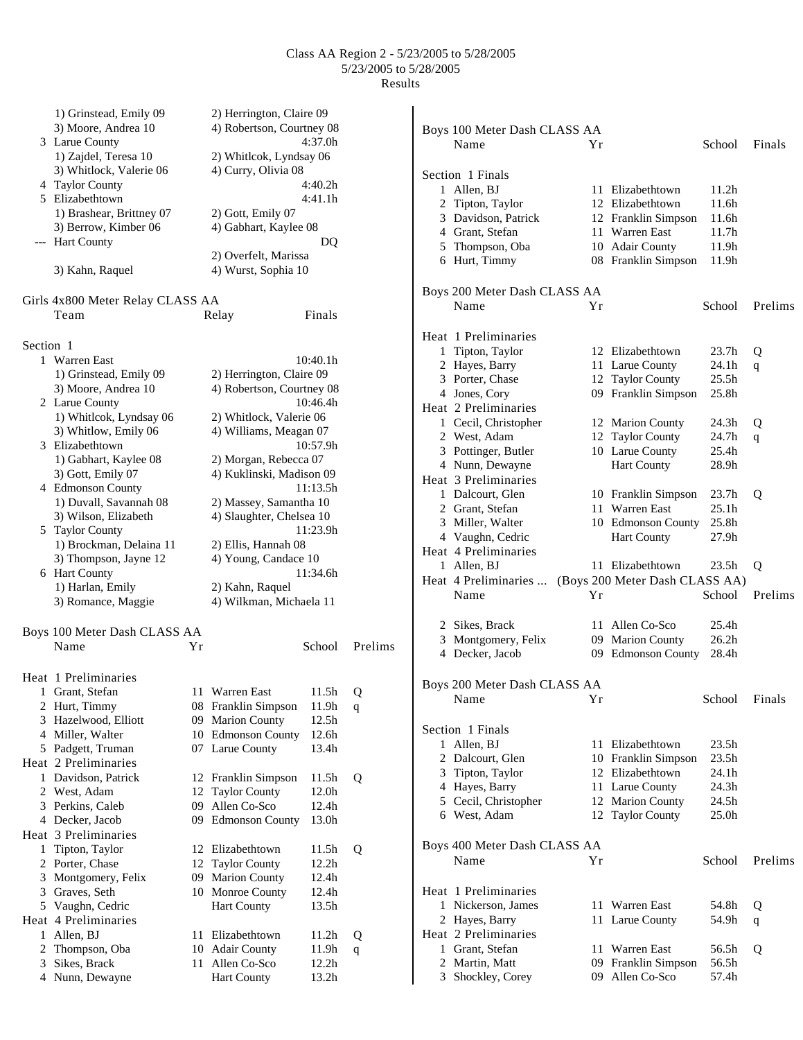|           | 1) Grinstead, Emily 09           |    | 2) Herrington, Claire 09  |                   |              |                              |    |                                |                   |         |
|-----------|----------------------------------|----|---------------------------|-------------------|--------------|------------------------------|----|--------------------------------|-------------------|---------|
|           | 3) Moore, Andrea 10              |    | 4) Robertson, Courtney 08 |                   |              | Boys 100 Meter Dash CLASS AA |    |                                |                   |         |
|           | 3 Larue County                   |    |                           | 4:37.0h           |              | Name                         | Yr |                                | School            | Finals  |
|           | 1) Zajdel, Teresa 10             |    | 2) Whitlcok, Lyndsay 06   |                   |              |                              |    |                                |                   |         |
|           | 3) Whitlock, Valerie 06          |    | 4) Curry, Olivia 08       |                   |              | Section 1 Finals             |    |                                |                   |         |
|           | 4 Taylor County                  |    |                           | 4:40.2h           |              | 1 Allen, BJ                  |    | 11 Elizabethtown               | 11.2h             |         |
|           | 5 Elizabethtown                  |    |                           | 4:41.1h           |              | 2 Tipton, Taylor             |    | 12 Elizabethtown               | 11.6h             |         |
|           | 1) Brashear, Brittney 07         |    | 2) Gott, Emily 07         |                   |              | 3 Davidson, Patrick          |    | 12 Franklin Simpson            | 11.6h             |         |
|           | 3) Berrow, Kimber 06             |    | 4) Gabhart, Kaylee 08     |                   |              | 4 Grant, Stefan              |    | 11 Warren East                 | 11.7 <sub>h</sub> |         |
|           | --- Hart County                  |    |                           | DQ                |              | 5 Thompson, Oba              |    | 10 Adair County                | 11.9h             |         |
|           |                                  |    | 2) Overfelt, Marissa      |                   |              | 6 Hurt, Timmy                |    | 08 Franklin Simpson            | 11.9h             |         |
|           | 3) Kahn, Raquel                  |    | 4) Wurst, Sophia 10       |                   |              |                              |    |                                |                   |         |
|           |                                  |    |                           |                   |              | Boys 200 Meter Dash CLASS AA |    |                                |                   |         |
|           | Girls 4x800 Meter Relay CLASS AA |    |                           |                   |              | Name                         | Yr |                                | School            | Prelims |
|           | Team                             |    | Relay                     | Finals            |              |                              |    |                                |                   |         |
| Section 1 |                                  |    |                           |                   |              | Heat 1 Preliminaries         |    |                                |                   |         |
|           |                                  |    |                           |                   |              | 1 Tipton, Taylor             |    | 12 Elizabethtown               | 23.7h             | Q       |
|           | 1 Warren East                    |    |                           | 10:40.1h          |              | 2 Hayes, Barry               |    | 11 Larue County                | 24.1h             | q       |
|           | 1) Grinstead, Emily 09           |    | 2) Herrington, Claire 09  |                   |              | 3 Porter, Chase              |    | 12 Taylor County               | 25.5 <sub>h</sub> |         |
|           | 3) Moore, Andrea 10              |    | 4) Robertson, Courtney 08 |                   |              | 4 Jones, Cory                |    | 09 Franklin Simpson            | 25.8h             |         |
|           | 2 Larue County                   |    |                           | 10:46.4h          |              | Heat 2 Preliminaries         |    |                                |                   |         |
|           | 1) Whitlcok, Lyndsay 06          |    | 2) Whitlock, Valerie 06   |                   |              | 1 Cecil, Christopher         |    | 12 Marion County               | 24.3h             | Q       |
|           | 3) Whitlow, Emily 06             |    | 4) Williams, Meagan 07    |                   |              | 2 West, Adam                 |    | 12 Taylor County               | 24.7h             | q       |
|           | 3 Elizabethtown                  |    |                           | 10:57.9h          |              | 3 Pottinger, Butler          |    | 10 Larue County                | 25.4h             |         |
|           | 1) Gabhart, Kaylee 08            |    | 2) Morgan, Rebecca 07     |                   |              | 4 Nunn, Dewayne              |    | <b>Hart County</b>             | 28.9h             |         |
|           | 3) Gott, Emily 07                |    | 4) Kuklinski, Madison 09  |                   |              | Heat 3 Preliminaries         |    |                                |                   |         |
|           | 4 Edmonson County                |    |                           | 11:13.5h          |              | 1 Dalcourt, Glen             |    | 10 Franklin Simpson            | 23.7h             | Q       |
|           | 1) Duvall, Savannah 08           |    | 2) Massey, Samantha 10    |                   |              | 2 Grant, Stefan              |    | 11 Warren East                 | 25.1h             |         |
|           | 3) Wilson, Elizabeth             |    | 4) Slaughter, Chelsea 10  |                   |              | 3 Miller, Walter             |    | 10 Edmonson County             | 25.8h             |         |
|           | 5 Taylor County                  |    |                           | 11:23.9h          |              | 4 Vaughn, Cedric             |    | Hart County                    | 27.9h             |         |
|           | 1) Brockman, Delaina 11          |    | 2) Ellis, Hannah 08       |                   |              | Heat 4 Preliminaries         |    |                                |                   |         |
|           | 3) Thompson, Jayne 12            |    | 4) Young, Candace 10      |                   |              | 1 Allen, BJ                  |    | 11 Elizabethtown               | 23.5 <sub>h</sub> | Q       |
|           | 6 Hart County                    |    |                           | 11:34.6h          |              | Heat 4 Preliminaries         |    | (Boys 200 Meter Dash CLASS AA) |                   |         |
|           | 1) Harlan, Emily                 |    | 2) Kahn, Raquel           |                   |              | Name                         | Yr |                                | School            | Prelims |
|           | 3) Romance, Maggie               |    | 4) Wilkman, Michaela 11   |                   |              |                              |    |                                |                   |         |
|           |                                  |    |                           |                   |              | 2 Sikes, Brack               |    | 11 Allen Co-Sco                | 25.4h             |         |
|           | Boys 100 Meter Dash CLASS AA     |    |                           |                   |              | 3 Montgomery, Felix          |    | 09 Marion County               | 26.2 <sub>h</sub> |         |
|           | Name                             | Υr |                           | School            | Prelims      | 4 Decker, Jacob              |    | 09 Edmonson County             | 28.4h             |         |
|           | Heat 1 Preliminaries             |    |                           |                   |              |                              |    |                                |                   |         |
|           | 1 Grant, Stefan                  |    | 11 Warren East            | 11.5h             | Q            | Boys 200 Meter Dash CLASS AA |    |                                |                   |         |
|           | 2 Hurt, Timmy                    |    | 08 Franklin Simpson       | 11.9h             | q            | Name                         | Yr |                                | School            | Finals  |
|           | Hazelwood, Elliott               |    | 09 Marion County          | 12.5h             |              |                              |    |                                |                   |         |
|           | 4 Miller, Walter                 |    | 10 Edmonson County        | 12.6 <sub>h</sub> |              | Section 1 Finals             |    |                                |                   |         |
|           | 5 Padgett, Truman                |    | 07 Larue County           | 13.4h             |              | 1 Allen, BJ                  |    | 11 Elizabethtown               | 23.5h             |         |
|           | Heat 2 Preliminaries             |    |                           |                   |              | 2 Dalcourt, Glen             | 10 | Franklin Simpson               | 23.5h             |         |
|           |                                  |    |                           | 11.5h             |              | 3 Tipton, Taylor             |    | 12 Elizabethtown               | 24.1h             |         |
|           | 1 Davidson, Patrick              |    | 12 Franklin Simpson       |                   | Q            | 4 Hayes, Barry               | 11 | Larue County                   | 24.3h             |         |
|           | 2 West, Adam                     |    | 12 Taylor County          | 12.0h             |              | 5 Cecil, Christopher         |    | 12 Marion County               | 24.5h             |         |
|           | 3 Perkins, Caleb                 |    | 09 Allen Co-Sco           | 12.4h             |              | 6 West, Adam                 |    | 12 Taylor County               | 25.0 <sub>h</sub> |         |
|           | 4 Decker, Jacob                  |    | 09 Edmonson County        | 13.0h             |              |                              |    |                                |                   |         |
|           | Heat 3 Preliminaries             |    |                           |                   |              | Boys 400 Meter Dash CLASS AA |    |                                |                   |         |
|           | 1 Tipton, Taylor                 |    | 12 Elizabethtown          | 11.5h             | Q            | Name                         | Yr |                                | School            | Prelims |
|           | 2 Porter, Chase                  |    | 12 Taylor County          | 12.2h             |              |                              |    |                                |                   |         |
| 3         | Montgomery, Felix                |    | 09 Marion County          | 12.4h             |              |                              |    |                                |                   |         |
| 3         | Graves, Seth                     |    | 10 Monroe County          | 12.4h             |              | Heat 1 Preliminaries         |    |                                |                   |         |
|           | 5 Vaughn, Cedric                 |    | <b>Hart County</b>        | 13.5h             |              | 1 Nickerson, James           |    | 11 Warren East                 | 54.8h             | Q       |
|           | Heat 4 Preliminaries             |    |                           |                   |              | 2 Hayes, Barry               |    | 11 Larue County                | 54.9h             | q       |
|           | 1 Allen, BJ                      |    | 11 Elizabethtown          | 11.2 <sub>h</sub> | Q            | Heat 2 Preliminaries         |    |                                |                   |         |
|           | 2 Thompson, Oba                  |    | 10 Adair County           | 11.9h             | $\mathbf{q}$ | 1 Grant, Stefan              |    | 11 Warren East                 | 56.5h             | Q       |
| 3         | Sikes, Brack                     |    | 11 Allen Co-Sco           | 12.2h             |              | 2 Martin, Matt               | 09 | Franklin Simpson               | 56.5h             |         |
|           | 4 Nunn, Dewayne                  |    | <b>Hart County</b>        | 13.2h             |              | 3 Shockley, Corey            |    | 09 Allen Co-Sco                | 57.4h             |         |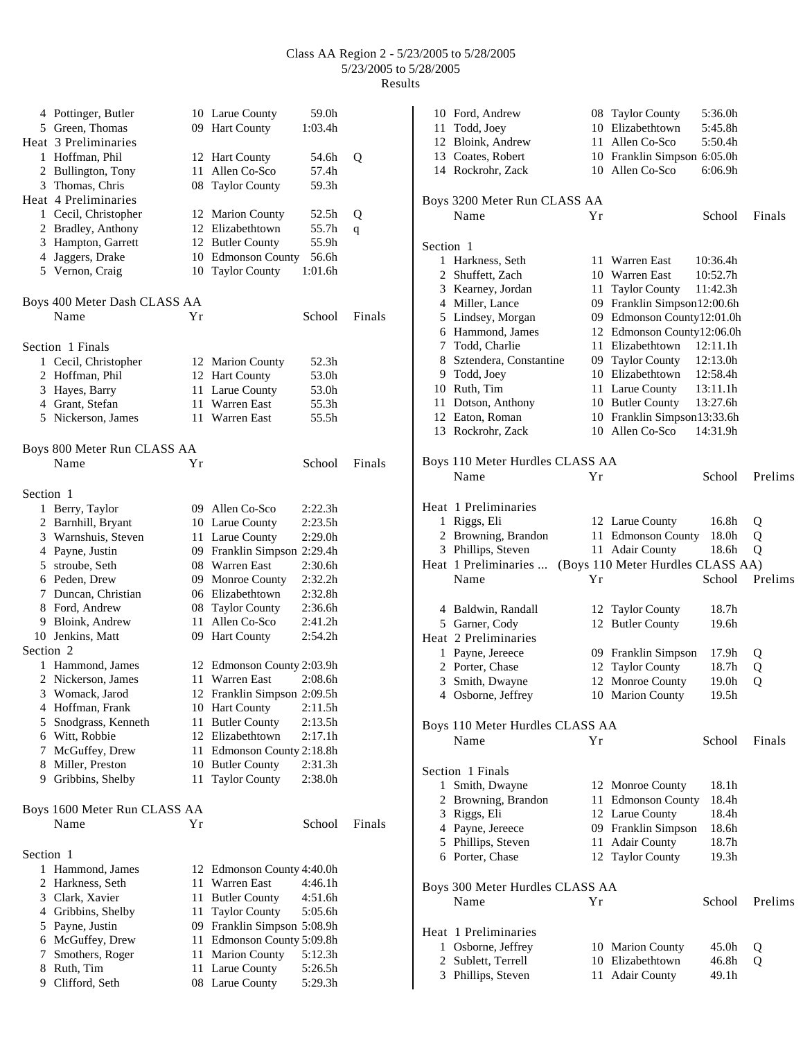|           | 4 Pottinger, Butler          |    | 10 Larue County             | 59.0h               |        |
|-----------|------------------------------|----|-----------------------------|---------------------|--------|
|           | 5 Green, Thomas              |    | 09 Hart County              | 1:03.4h             |        |
|           | Heat 3 Preliminaries         |    |                             |                     |        |
|           | 1 Hoffman, Phil              |    | 12 Hart County              | 54.6h               | Q      |
|           | 2 Bullington, Tony           | 11 | Allen Co-Sco                | 57.4h               |        |
|           | 3 Thomas, Chris              |    | 08 Taylor County            | 59.3h               |        |
|           | Heat 4 Preliminaries         |    |                             |                     |        |
|           | 1 Cecil, Christopher         |    | 12 Marion County            | 52.5h               | Q      |
|           | 2 Bradley, Anthony           |    | 12 Elizabethtown            | 55.7h               |        |
|           | 3 Hampton, Garrett           |    | 12 Butler County            | 55.9h               | q      |
|           | 4 Jaggers, Drake             |    | 10 Edmonson County          | 56.6h               |        |
|           |                              |    |                             |                     |        |
|           | 5 Vernon, Craig              |    | 10 Taylor County            | 1:01.6h             |        |
|           | Boys 400 Meter Dash CLASS AA |    |                             |                     |        |
|           | Name                         | Υr |                             | School              | Finals |
|           | Section 1 Finals             |    |                             |                     |        |
|           | 1 Cecil, Christopher         |    | 12 Marion County            | 52.3h               |        |
|           | 2 Hoffman, Phil              |    | 12 Hart County              | 53.0h               |        |
|           | 3 Hayes, Barry               |    | 11 Larue County             | 53.0h               |        |
|           | 4 Grant, Stefan              |    | 11 Warren East              | 55.3h               |        |
|           | 5 Nickerson, James           |    | 11 Warren East              | 55.5h               |        |
|           |                              |    |                             |                     |        |
|           | Boys 800 Meter Run CLASS AA  |    |                             |                     |        |
|           | Name                         | Υr |                             | School              | Finals |
| Section 1 |                              |    |                             |                     |        |
|           | 1 Berry, Taylor              |    | 09 Allen Co-Sco             | 2:22.3h             |        |
|           | 2 Barnhill, Bryant           |    | 10 Larue County             | 2:23.5h             |        |
|           | 3 Warnshuis, Steven          |    | 11 Larue County             | 2:29.0 <sub>h</sub> |        |
|           | 4 Payne, Justin              |    | 09 Franklin Simpson 2:29.4h |                     |        |
|           | 5 stroube, Seth              |    | 08 Warren East              | 2:30.6h             |        |
|           | 6 Peden, Drew                |    | 09 Monroe County            | 2:32.2h             |        |
|           |                              |    | 06 Elizabethtown            |                     |        |
|           | 7 Duncan, Christian          |    |                             | 2:32.8h             |        |
|           | 8 Ford, Andrew               |    | 08 Taylor County            | 2:36.6h             |        |
|           | 9 Bloink, Andrew             | 11 | Allen Co-Sco                | 2:41.2h             |        |
|           | 10 Jenkins, Matt             |    | 09 Hart County              | 2:54.2h             |        |
| Section 2 |                              |    |                             |                     |        |
|           | 1 Hammond, James             |    | 12 Edmonson County 2:03.9h  |                     |        |
| 2         | Nickerson, James             |    | 11 Warren East              | 2:08.6h             |        |
| 3         | Womack, Jarod                | 12 | Franklin Simpson 2:09.5h    |                     |        |
| 4         | Hoffman, Frank               |    | 10 Hart County              | 2:11.5h             |        |
| 5         | Snodgrass, Kenneth           | 11 | <b>Butler County</b>        | 2:13.5h             |        |
|           | 6 Witt, Robbie               |    | 12 Elizabethtown            | 2:17.1h             |        |
| 7.        | McGuffey, Drew               |    | 11 Edmonson County 2:18.8h  |                     |        |
|           | 8 Miller, Preston            |    | 10 Butler County            | 2:31.3h             |        |
|           | 9 Gribbins, Shelby           | 11 | <b>Taylor County</b>        | 2:38.0h             |        |
|           | Boys 1600 Meter Run CLASS AA |    |                             |                     |        |
|           | Name                         | Yr |                             | School              | Finals |
|           |                              |    |                             |                     |        |
| Section 1 |                              |    |                             |                     |        |
|           | 1 Hammond, James             |    | 12 Edmonson County 4:40.0h  |                     |        |
| 2         | Harkness, Seth               | 11 | Warren East                 | 4:46.1h             |        |
|           | 3 Clark, Xavier              | 11 | <b>Butler County</b>        | 4:51.6h             |        |
|           | 4 Gribbins, Shelby           | 11 | <b>Taylor County</b>        | 5:05.6h             |        |
|           | 5 Payne, Justin              |    | 09 Franklin Simpson 5:08.9h |                     |        |
|           | 6 McGuffey, Drew             |    | 11 Edmonson County 5:09.8h  |                     |        |
| 7         | Smothers, Roger              | 11 | <b>Marion County</b>        | 5:12.3h             |        |
|           | 8 Ruth, Tim                  |    | 11 Larue County             | 5:26.5h             |        |
|           | 9 Clifford, Seth             |    | 08 Larue County             | 5:29.3h             |        |

|           | 10 Ford, Andrew                          | 08 | <b>Taylor County</b>                | 5:36.0h        |         |
|-----------|------------------------------------------|----|-------------------------------------|----------------|---------|
|           | 11 Todd, Joey                            |    | 10 Elizabethtown                    | 5:45.8h        |         |
|           | 12 Bloink, Andrew                        | 11 | Allen Co-Sco                        | 5:50.4h        |         |
|           | 13 Coates, Robert                        |    | 10 Franklin Simpson 6:05.0h         |                |         |
|           | 14 Rockrohr, Zack                        |    | 10 Allen Co-Sco                     | 6:06.9h        |         |
|           |                                          |    |                                     |                |         |
|           | Boys 3200 Meter Run CLASS AA             |    |                                     |                |         |
|           | Name                                     | Υr |                                     | School         | Finals  |
|           |                                          |    |                                     |                |         |
| Section 1 |                                          |    |                                     |                |         |
|           | 1 Harkness, Seth                         |    | 11 Warren East                      | 10:36.4h       |         |
|           | 2 Shuffett, Zach                         |    | 10 Warren East                      | 10:52.7h       |         |
|           | 3 Kearney, Jordan                        |    | 11 Taylor County                    | 11:42.3h       |         |
|           | 4 Miller, Lance                          |    | 09 Franklin Simpson12:00.6h         |                |         |
|           | 5 Lindsey, Morgan                        |    | 09 Edmonson County12:01.0h          |                |         |
|           | 6 Hammond, James                         |    | 12 Edmonson County12:06.0h          |                |         |
|           | 7 Todd, Charlie                          |    | 11 Elizabethtown                    | 12:11.1h       |         |
|           | 8 Sztendera, Constantine                 |    | 09 Taylor County                    | 12:13.0h       |         |
|           | 9 Todd, Joey                             |    | 10 Elizabethtown                    | 12:58.4h       |         |
|           | 10 Ruth, Tim                             |    | 11 Larue County                     | 13:11.1h       |         |
|           | 11 Dotson, Anthony                       |    | 10 Butler County                    | 13:27.6h       |         |
|           | 12 Eaton, Roman                          |    | 10 Franklin Simpson13:33.6h         |                |         |
|           | 13 Rockrohr, Zack                        |    | 10 Allen Co-Sco                     | 14:31.9h       |         |
|           |                                          |    |                                     |                |         |
|           |                                          |    |                                     |                |         |
|           | Boys 110 Meter Hurdles CLASS AA          |    |                                     |                |         |
|           | Name                                     | Yr |                                     | School         | Prelims |
|           |                                          |    |                                     |                |         |
|           | Heat 1 Preliminaries                     |    |                                     |                |         |
|           | 1 Riggs, Eli                             |    | 12 Larue County                     | 16.8h          | Q       |
|           | 2 Browning, Brandon                      |    | 11 Edmonson County                  | 18.0h          | Q       |
|           |                                          |    |                                     |                |         |
|           | 3 Phillips, Steven                       |    | 11 Adair County                     | 18.6h          | Q       |
|           | Heat 1 Preliminaries                     |    | (Boys 110 Meter Hurdles CLASS AA)   |                |         |
|           | Name                                     | Υr |                                     | School         | Prelims |
|           |                                          |    |                                     |                |         |
|           |                                          |    |                                     |                |         |
|           | 4 Baldwin, Randall                       | 12 | <b>Taylor County</b>                | 18.7h          |         |
|           | 5 Garner, Cody                           |    | 12 Butler County                    | 19.6h          |         |
|           | Heat 2 Preliminaries                     |    |                                     |                |         |
|           | 1 Payne, Jereece                         |    | 09 Franklin Simpson                 | 17.9h          | Q       |
|           | 2 Porter, Chase                          |    | 12 Taylor County                    | 18.7h          | Q       |
|           | 3 Smith, Dwayne                          |    | 12 Monroe County                    | 19.0h          | Q       |
|           | 4 Osborne, Jeffrey                       |    | 10 Marion County                    | 19.5h          |         |
|           |                                          |    |                                     |                |         |
|           | Boys 110 Meter Hurdles CLASS AA          |    |                                     |                |         |
|           | Name                                     | Υr |                                     | School         | Finals  |
|           |                                          |    |                                     |                |         |
|           | Section 1 Finals                         |    |                                     |                |         |
|           | 1 Smith, Dwayne                          |    | 12 Monroe County                    | 18.1h          |         |
|           | 2 Browning, Brandon                      |    | 11 Edmonson County                  | 18.4h          |         |
|           | 3 Riggs, Eli                             |    | 12 Larue County                     | 18.4h          |         |
|           | 4 Payne, Jereece                         |    | 09 Franklin Simpson                 | 18.6h          |         |
|           | 5 Phillips, Steven                       |    | 11 Adair County                     | 18.7h          |         |
|           | 6 Porter, Chase                          |    | 12 Taylor County                    | 19.3h          |         |
|           |                                          |    |                                     |                |         |
|           |                                          |    |                                     |                |         |
|           | Boys 300 Meter Hurdles CLASS AA<br>Name  | Υr |                                     | School         | Prelims |
|           |                                          |    |                                     |                |         |
|           |                                          |    |                                     |                |         |
|           | Heat 1 Preliminaries                     |    |                                     |                |         |
|           | 1 Osborne, Jeffrey                       |    | 10 Marion County                    | 45.0h          | Q       |
|           | 2 Sublett, Terrell<br>3 Phillips, Steven |    | 10 Elizabethtown<br>11 Adair County | 46.8h<br>49.1h | Q       |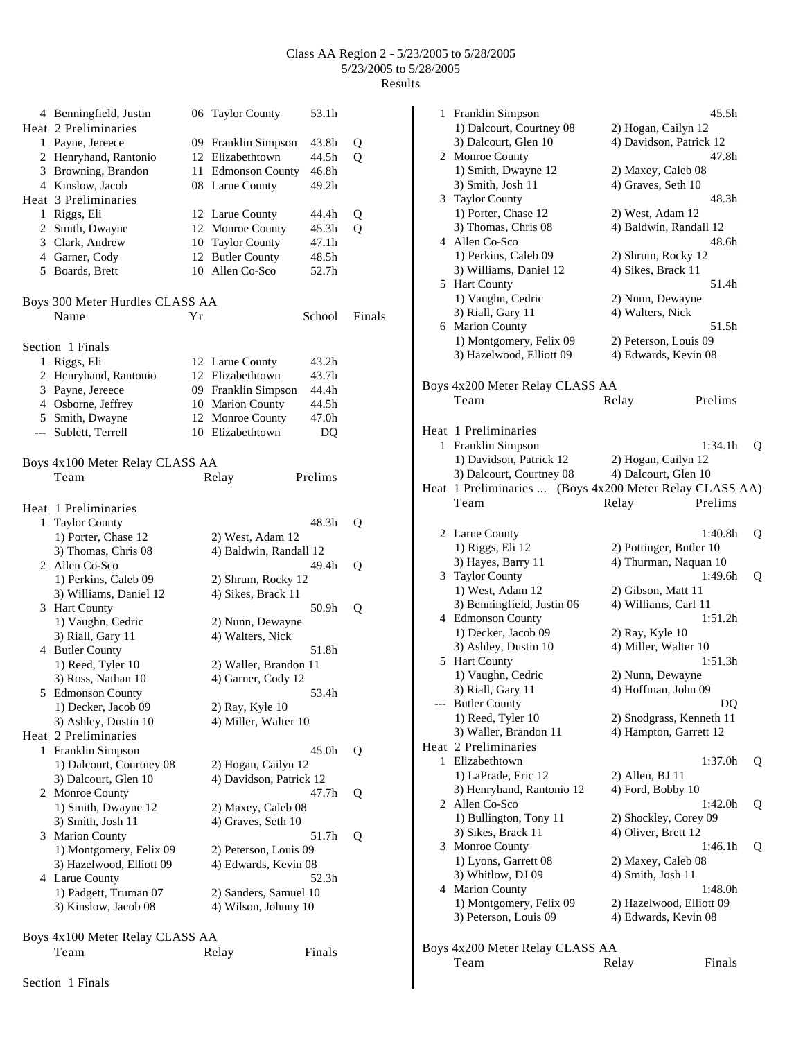|              | 4 Benningfield, Justin<br>Heat 2 Preliminaries |    | 06 Taylor County        | 53.1h   |        |
|--------------|------------------------------------------------|----|-------------------------|---------|--------|
|              | 1 Payne, Jereece                               |    | 09 Franklin Simpson     | 43.8h   | Q      |
|              | 2 Henryhand, Rantonio                          |    | 12 Elizabethtown        | 44.5h   | Q      |
|              | 3 Browning, Brandon                            |    | 11 Edmonson County      | 46.8h   |        |
|              | 4 Kinslow, Jacob                               |    | 08 Larue County         | 49.2h   |        |
|              | Heat 3 Preliminaries                           |    |                         |         |        |
|              | 1 Riggs, Eli                                   |    | 12 Larue County         | 44.4h   | Q      |
|              | 2 Smith, Dwayne                                |    | 12 Monroe County        | 45.3h   | Q      |
|              | 3 Clark, Andrew                                |    | 10 Taylor County        | 47.1h   |        |
|              | 4 Garner, Cody                                 | 12 | <b>Butler County</b>    | 48.5h   |        |
|              | 5 Boards, Brett                                |    | 10 Allen Co-Sco         | 52.7h   |        |
|              | Boys 300 Meter Hurdles CLASS AA                |    |                         |         |        |
|              | Name                                           | Υr |                         | School  | Finals |
|              | Section 1 Finals                               |    |                         |         |        |
| $\mathbf{1}$ | Riggs, Eli                                     |    | 12 Larue County         | 43.2h   |        |
|              | 2 Henryhand, Rantonio                          |    | 12 Elizabethtown        | 43.7h   |        |
|              | 3 Payne, Jereece                               |    | 09 Franklin Simpson     | 44.4h   |        |
|              | 4 Osborne, Jeffrey                             |    | 10 Marion County        | 44.5h   |        |
|              | 5 Smith, Dwayne                                |    | 12 Monroe County        | 47.0h   |        |
|              | --- Sublett, Terrell                           |    | 10 Elizabethtown        | DQ      |        |
|              | Boys 4x100 Meter Relay CLASS AA                |    |                         |         |        |
|              | Team                                           |    | Relay                   | Prelims |        |
|              | Heat 1 Preliminaries                           |    |                         |         |        |
| 1            | <b>Taylor County</b>                           |    |                         | 48.3h   | Q      |
|              | 1) Porter, Chase 12                            |    | 2) West, Adam 12        |         |        |
|              | 3) Thomas, Chris 08<br>2 Allen Co-Sco          |    | 4) Baldwin, Randall 12  | 49.4h   | Q      |
|              | 1) Perkins, Caleb 09                           |    | 2) Shrum, Rocky 12      |         |        |
|              | 3) Williams, Daniel 12<br>3 Hart County        |    | 4) Sikes, Brack 11      | 50.9h   | Q      |
|              | 1) Vaughn, Cedric                              |    | 2) Nunn, Dewayne        |         |        |
|              | 3) Riall, Gary 11                              |    | 4) Walters, Nick        |         |        |
|              | 4 Butler County                                |    |                         | 51.8h   |        |
|              | 1) Reed, Tyler 10                              |    | 2) Waller, Brandon 11   |         |        |
|              | 3) Ross, Nathan 10                             |    | 4) Garner, Cody 12      |         |        |
|              | 5 Edmonson County                              |    |                         | 53.4h   |        |
|              | 1) Decker, Jacob 09                            |    | 2) Ray, Kyle 10         |         |        |
|              | 3) Ashley, Dustin 10                           |    | 4) Miller, Walter 10    |         |        |
|              | Heat 2 Preliminaries                           |    |                         |         |        |
| 1            | Franklin Simpson                               |    |                         | 45.0h   | Q      |
|              | 1) Dalcourt, Courtney 08                       |    | 2) Hogan, Cailyn 12     |         |        |
|              | 3) Dalcourt, Glen 10                           |    | 4) Davidson, Patrick 12 |         |        |
|              | 2 Monroe County                                |    |                         | 47.7h   | Q      |
|              | 1) Smith, Dwayne 12                            |    | 2) Maxey, Caleb 08      |         |        |
|              | 3) Smith, Josh 11                              |    | 4) Graves, Seth 10      |         |        |
| 3            | <b>Marion County</b>                           |    |                         | 51.7h   | Q      |
|              | 1) Montgomery, Felix 09                        |    | 2) Peterson, Louis 09   |         |        |
|              | 3) Hazelwood, Elliott 09                       |    | 4) Edwards, Kevin 08    |         |        |
| 4            | Larue County                                   |    |                         | 52.3h   |        |
|              | 1) Padgett, Truman 07                          |    | 2) Sanders, Samuel 10   |         |        |
|              | 3) Kinslow, Jacob 08                           |    | 4) Wilson, Johnny 10    |         |        |
|              | Boys 4x100 Meter Relay CLASS AA                |    |                         |         |        |
|              | Team                                           |    | Relay                   | Finals  |        |
|              |                                                |    |                         |         |        |

|   | 1 Franklin Simpson                                              |                                            | 45.5h                          |   |
|---|-----------------------------------------------------------------|--------------------------------------------|--------------------------------|---|
|   | 1) Dalcourt, Courtney 08                                        | 2) Hogan, Cailyn 12                        |                                |   |
|   | 3) Dalcourt, Glen 10                                            |                                            | 4) Davidson, Patrick 12        |   |
|   | 2 Monroe County<br>1) Smith, Dwayne 12                          |                                            | 47.8h                          |   |
|   | 3) Smith, Josh 11                                               | 2) Maxey, Caleb 08<br>4) Graves, Seth 10   |                                |   |
|   | 3 Taylor County                                                 |                                            | 48.3h                          |   |
|   | 1) Porter, Chase 12                                             | 2) West, Adam 12                           |                                |   |
|   | 3) Thomas, Chris 08                                             |                                            | 4) Baldwin, Randall 12         |   |
|   | 4 Allen Co-Sco                                                  |                                            | 48.6h                          |   |
|   | 1) Perkins, Caleb 09<br>3) Williams, Daniel 12                  | 2) Shrum, Rocky 12<br>4) Sikes, Brack 11   |                                |   |
|   | 5 Hart County                                                   |                                            | 51.4h                          |   |
|   | 1) Vaughn, Cedric                                               | 2) Nunn, Dewayne                           |                                |   |
|   | 3) Riall, Gary 11                                               | 4) Walters, Nick                           |                                |   |
|   | 6 Marion County                                                 |                                            | 51.5h                          |   |
|   | 1) Montgomery, Felix 09                                         | 2) Peterson, Louis 09                      |                                |   |
|   | 3) Hazelwood, Elliott 09                                        | 4) Edwards, Kevin 08                       |                                |   |
|   | Boys 4x200 Meter Relay CLASS AA                                 |                                            |                                |   |
|   | Team                                                            | Relay                                      | Prelims                        |   |
|   |                                                                 |                                            |                                |   |
|   | Heat 1 Preliminaries                                            |                                            |                                |   |
| 1 | Franklin Simpson                                                |                                            | 1:34.1h                        | Q |
|   | 1) Davidson, Patrick 12                                         | 2) Hogan, Cailyn 12                        |                                |   |
|   | 3) Dalcourt, Courtney 08                                        | 4) Dalcourt, Glen 10                       |                                |   |
|   | Heat 1 Preliminaries  (Boys 4x200 Meter Relay CLASS AA)<br>Team | Relay                                      | Prelims                        |   |
|   |                                                                 |                                            |                                |   |
|   | 2 Larue County                                                  |                                            | 1:40.8h                        | Q |
|   | 1) Riggs, Eli 12                                                |                                            | 2) Pottinger, Butler 10        |   |
|   | 3) Hayes, Barry 11                                              |                                            | 4) Thurman, Naquan 10          |   |
|   | 3 Taylor County                                                 |                                            | 1:49.6h                        | Q |
|   | 1) West, Adam 12<br>3) Benningfield, Justin 06                  | 2) Gibson, Matt 11<br>4) Williams, Carl 11 |                                |   |
|   | 4 Edmonson County                                               |                                            | 1:51.2h                        |   |
|   | 1) Decker, Jacob 09                                             | 2) Ray, Kyle 10                            |                                |   |
|   | 3) Ashley, Dustin 10                                            | 4) Miller, Walter 10                       |                                |   |
|   | 5 Hart County                                                   |                                            | 1:51.3h                        |   |
|   | 1) Vaughn, Cedric                                               | 2) Nunn, Dewayne                           |                                |   |
|   | 3) Riall, Gary 11                                               | 4) Hoffman, John 09                        |                                |   |
|   | <b>Butler County</b><br>1) Reed, Tyler 10                       |                                            | DQ<br>2) Snodgrass, Kenneth 11 |   |
|   | 3) Waller, Brandon 11                                           |                                            | 4) Hampton, Garrett 12         |   |
|   | Heat 2 Preliminaries                                            |                                            |                                |   |
| 1 | Elizabethtown                                                   |                                            | 1:37.0 <sub>h</sub>            | Q |
|   | 1) LaPrade, Eric 12                                             | 2) Allen, BJ 11                            |                                |   |
|   | 3) Henryhand, Rantonio 12                                       | 4) Ford, Bobby 10                          |                                |   |
| 2 | Allen Co-Sco                                                    |                                            | 1:42.0h                        | Q |
|   | 1) Bullington, Tony 11<br>3) Sikes, Brack 11                    | 4) Oliver, Brett 12                        | 2) Shockley, Corey 09          |   |
|   | 3 Monroe County                                                 |                                            | 1:46.1h                        | Q |
|   | 1) Lyons, Garrett 08                                            | 2) Maxey, Caleb 08                         |                                |   |
|   | 3) Whitlow, DJ 09                                               | 4) Smith, Josh 11                          |                                |   |
|   | 4 Marion County                                                 |                                            | 1:48.0h                        |   |
|   | 1) Montgomery, Felix 09                                         |                                            | 2) Hazelwood, Elliott 09       |   |
|   | 3) Peterson, Louis 09                                           | 4) Edwards, Kevin 08                       |                                |   |
|   |                                                                 |                                            |                                |   |
|   | Boys 4x200 Meter Relay CLASS AA<br>Team                         | Relay                                      | Finals                         |   |
|   |                                                                 |                                            |                                |   |